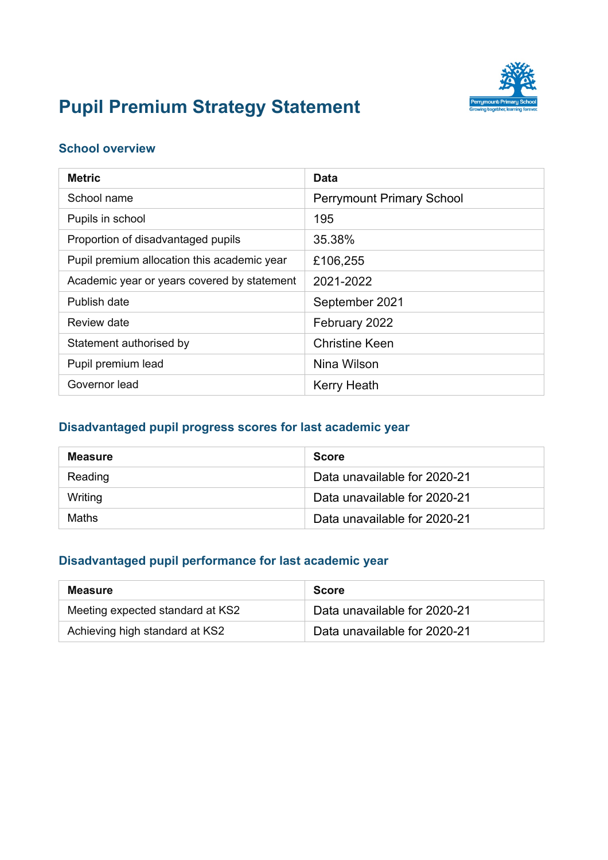

# **Pupil Premium Strategy Statement**

#### **School overview**

| <b>Metric</b>                               | <b>Data</b>                      |
|---------------------------------------------|----------------------------------|
| School name                                 | <b>Perrymount Primary School</b> |
| Pupils in school                            | 195                              |
| Proportion of disadvantaged pupils          | 35.38%                           |
| Pupil premium allocation this academic year | £106,255                         |
| Academic year or years covered by statement | 2021-2022                        |
| Publish date                                | September 2021                   |
| Review date                                 | February 2022                    |
| Statement authorised by                     | <b>Christine Keen</b>            |
| Pupil premium lead                          | Nina Wilson                      |
| Governor lead                               | <b>Kerry Heath</b>               |

#### **Disadvantaged pupil progress scores for last academic year**

| <b>Measure</b> | <b>Score</b>                 |
|----------------|------------------------------|
| Reading        | Data unavailable for 2020-21 |
| Writing        | Data unavailable for 2020-21 |
| Maths          | Data unavailable for 2020-21 |

#### **Disadvantaged pupil performance for last academic year**

| <b>Measure</b>                   | <b>Score</b>                 |
|----------------------------------|------------------------------|
| Meeting expected standard at KS2 | Data unavailable for 2020-21 |
| Achieving high standard at KS2   | Data unavailable for 2020-21 |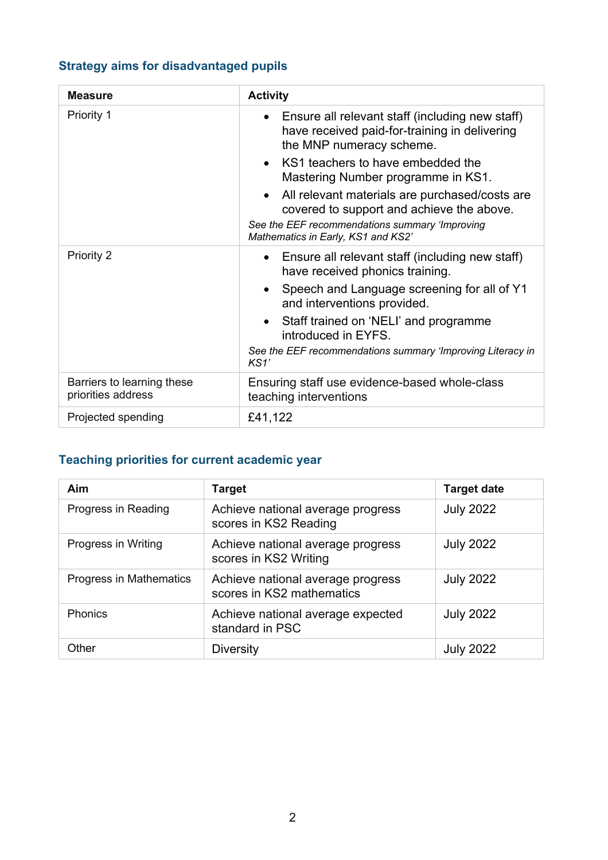### **Strategy aims for disadvantaged pupils**

| <b>Measure</b>                                   | <b>Activity</b>                                                                                                                                                                     |  |
|--------------------------------------------------|-------------------------------------------------------------------------------------------------------------------------------------------------------------------------------------|--|
| <b>Priority 1</b>                                | • Ensure all relevant staff (including new staff)<br>have received paid-for-training in delivering<br>the MNP numeracy scheme.                                                      |  |
|                                                  | KS1 teachers to have embedded the<br>Mastering Number programme in KS1.                                                                                                             |  |
|                                                  | All relevant materials are purchased/costs are<br>covered to support and achieve the above.<br>See the EEF recommendations summary 'Improving<br>Mathematics in Early, KS1 and KS2' |  |
| Priority 2                                       | Ensure all relevant staff (including new staff)<br>have received phonics training.                                                                                                  |  |
|                                                  | Speech and Language screening for all of Y1<br>and interventions provided.                                                                                                          |  |
|                                                  | Staff trained on 'NELI' and programme<br>introduced in EYFS.                                                                                                                        |  |
|                                                  | See the EEF recommendations summary 'Improving Literacy in<br>KS1'                                                                                                                  |  |
| Barriers to learning these<br>priorities address | Ensuring staff use evidence-based whole-class<br>teaching interventions                                                                                                             |  |
| Projected spending                               | £41,122                                                                                                                                                                             |  |

## **Teaching priorities for current academic year**

| Aim                     | <b>Target</b>                                                  | <b>Target date</b> |
|-------------------------|----------------------------------------------------------------|--------------------|
| Progress in Reading     | Achieve national average progress<br>scores in KS2 Reading     | <b>July 2022</b>   |
| Progress in Writing     | Achieve national average progress<br>scores in KS2 Writing     | <b>July 2022</b>   |
| Progress in Mathematics | Achieve national average progress<br>scores in KS2 mathematics | <b>July 2022</b>   |
| <b>Phonics</b>          | Achieve national average expected<br>standard in PSC           | <b>July 2022</b>   |
| Other                   | <b>Diversity</b>                                               | <b>July 2022</b>   |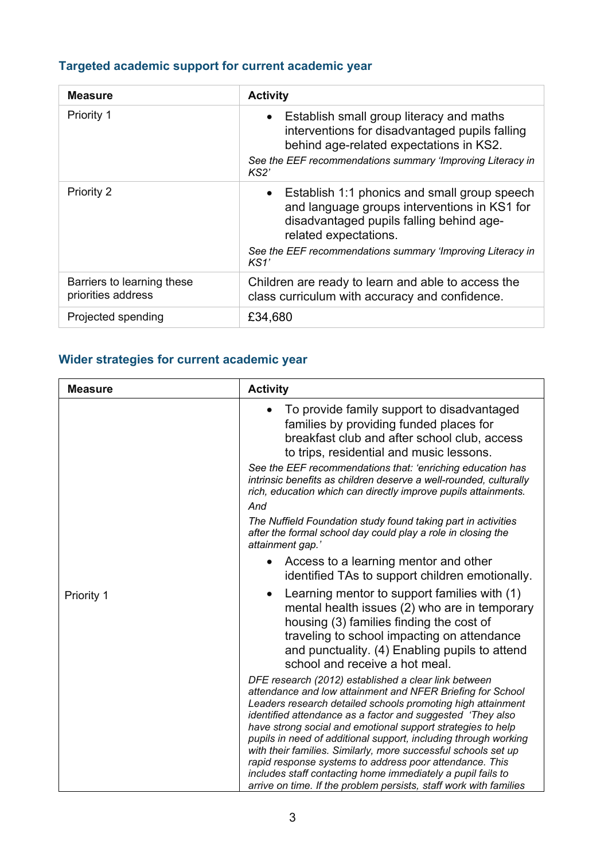### **Targeted academic support for current academic year**

| <b>Measure</b>                                   | <b>Activity</b>                                                                                                                                                                                                                                      |
|--------------------------------------------------|------------------------------------------------------------------------------------------------------------------------------------------------------------------------------------------------------------------------------------------------------|
| Priority 1                                       | Establish small group literacy and maths<br>$\bullet$<br>interventions for disadvantaged pupils falling<br>behind age-related expectations in KS2.<br>See the EEF recommendations summary 'Improving Literacy in<br>KS2'                             |
| Priority 2                                       | Establish 1:1 phonics and small group speech<br>$\bullet$<br>and language groups interventions in KS1 for<br>disadvantaged pupils falling behind age-<br>related expectations.<br>See the EEF recommendations summary 'Improving Literacy in<br>KS1' |
| Barriers to learning these<br>priorities address | Children are ready to learn and able to access the<br>class curriculum with accuracy and confidence.                                                                                                                                                 |
| Projected spending                               | £34,680                                                                                                                                                                                                                                              |

## **Wider strategies for current academic year**

| <b>Measure</b> | <b>Activity</b>                                                                                                                                                                                                                                                                                                                                                                                                                                                                                                                                                                                                                                    |
|----------------|----------------------------------------------------------------------------------------------------------------------------------------------------------------------------------------------------------------------------------------------------------------------------------------------------------------------------------------------------------------------------------------------------------------------------------------------------------------------------------------------------------------------------------------------------------------------------------------------------------------------------------------------------|
|                | To provide family support to disadvantaged<br>$\bullet$<br>families by providing funded places for<br>breakfast club and after school club, access<br>to trips, residential and music lessons.                                                                                                                                                                                                                                                                                                                                                                                                                                                     |
|                | See the EEF recommendations that: 'enriching education has<br>intrinsic benefits as children deserve a well-rounded, culturally<br>rich, education which can directly improve pupils attainments.                                                                                                                                                                                                                                                                                                                                                                                                                                                  |
|                | And                                                                                                                                                                                                                                                                                                                                                                                                                                                                                                                                                                                                                                                |
|                | The Nuffield Foundation study found taking part in activities<br>after the formal school day could play a role in closing the<br>attainment gap.'                                                                                                                                                                                                                                                                                                                                                                                                                                                                                                  |
|                | Access to a learning mentor and other<br>identified TAs to support children emotionally.                                                                                                                                                                                                                                                                                                                                                                                                                                                                                                                                                           |
| Priority 1     | Learning mentor to support families with (1)<br>$\bullet$<br>mental health issues (2) who are in temporary<br>housing (3) families finding the cost of<br>traveling to school impacting on attendance<br>and punctuality. (4) Enabling pupils to attend<br>school and receive a hot meal.                                                                                                                                                                                                                                                                                                                                                          |
|                | DFE research (2012) established a clear link between<br>attendance and low attainment and NFER Briefing for School<br>Leaders research detailed schools promoting high attainment<br>identified attendance as a factor and suggested 'They also<br>have strong social and emotional support strategies to help<br>pupils in need of additional support, including through working<br>with their families. Similarly, more successful schools set up<br>rapid response systems to address poor attendance. This<br>includes staff contacting home immediately a pupil fails to<br>arrive on time. If the problem persists, staff work with families |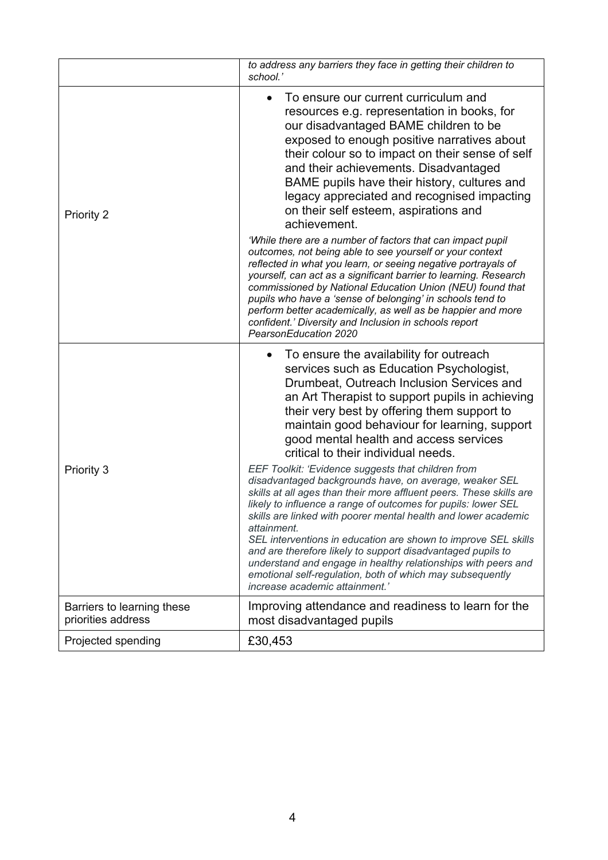|                                                  | to address any barriers they face in getting their children to<br>school.'                                                                                                                                                                                                                                                                                                                                                                                                                                                                                                                                                             |
|--------------------------------------------------|----------------------------------------------------------------------------------------------------------------------------------------------------------------------------------------------------------------------------------------------------------------------------------------------------------------------------------------------------------------------------------------------------------------------------------------------------------------------------------------------------------------------------------------------------------------------------------------------------------------------------------------|
| Priority 2                                       | To ensure our current curriculum and<br>$\bullet$<br>resources e.g. representation in books, for<br>our disadvantaged BAME children to be<br>exposed to enough positive narratives about<br>their colour so to impact on their sense of self<br>and their achievements. Disadvantaged<br>BAME pupils have their history, cultures and<br>legacy appreciated and recognised impacting<br>on their self esteem, aspirations and<br>achievement.                                                                                                                                                                                          |
|                                                  | 'While there are a number of factors that can impact pupil<br>outcomes, not being able to see yourself or your context<br>reflected in what you learn, or seeing negative portrayals of<br>yourself, can act as a significant barrier to learning. Research<br>commissioned by National Education Union (NEU) found that<br>pupils who have a 'sense of belonging' in schools tend to<br>perform better academically, as well as be happier and more<br>confident.' Diversity and Inclusion in schools report<br>PearsonEducation 2020                                                                                                 |
| Priority 3                                       | To ensure the availability for outreach<br>$\bullet$<br>services such as Education Psychologist,<br>Drumbeat, Outreach Inclusion Services and<br>an Art Therapist to support pupils in achieving<br>their very best by offering them support to<br>maintain good behaviour for learning, support<br>good mental health and access services<br>critical to their individual needs.                                                                                                                                                                                                                                                      |
|                                                  | EEF Toolkit: 'Evidence suggests that children from<br>disadvantaged backgrounds have, on average, weaker SEL<br>skills at all ages than their more affluent peers. These skills are<br>likely to influence a range of outcomes for pupils: lower SEL<br>skills are linked with poorer mental health and lower academic<br>attainment.<br>SEL interventions in education are shown to improve SEL skills<br>and are therefore likely to support disadvantaged pupils to<br>understand and engage in healthy relationships with peers and<br>emotional self-regulation, both of which may subsequently<br>increase academic attainment.' |
| Barriers to learning these<br>priorities address | Improving attendance and readiness to learn for the<br>most disadvantaged pupils                                                                                                                                                                                                                                                                                                                                                                                                                                                                                                                                                       |
| Projected spending                               | £30,453                                                                                                                                                                                                                                                                                                                                                                                                                                                                                                                                                                                                                                |